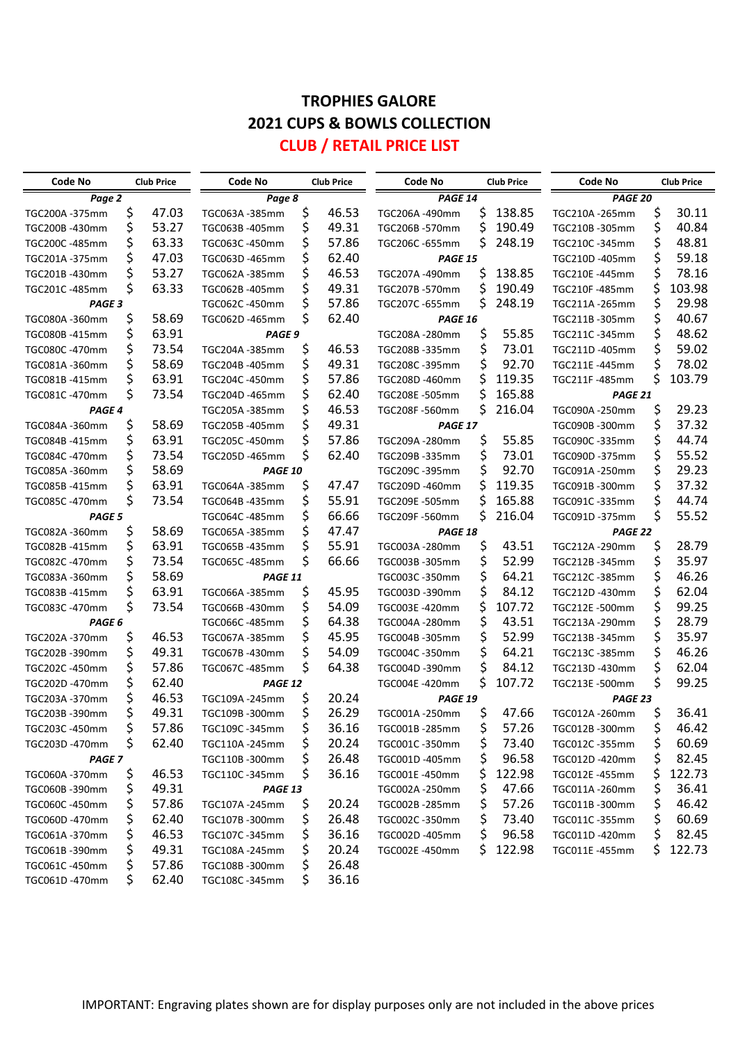# **TROPHIES GALORE 2021 CUPS & BOWLS COLLECTION**

### **CLUB / RETAIL PRICE LIST**

| Code No           |    | <b>Club Price</b> | Code No        |       | <b>Club Price</b> | Code No        |        | <b>Club Price</b> | Code No        |       | <b>Club Price</b> |
|-------------------|----|-------------------|----------------|-------|-------------------|----------------|--------|-------------------|----------------|-------|-------------------|
| Page 2            |    |                   | Page 8         |       |                   | PAGE 14        |        |                   | PAGE 20        |       |                   |
| TGC200A -375mm    | \$ | 47.03             | TGC063A-385mm  | \$    | 46.53             | TGC206A-490mm  | \$     | 138.85            | TGC210A -265mm | \$    | 30.11             |
| TGC200B-430mm     | \$ | 53.27             | TGC063B-405mm  | \$    | 49.31             | TGC206B -570mm | \$     | 190.49            | TGC210B-305mm  | \$    | 40.84             |
| TGC200C -485mm    | \$ | 63.33             | TGC063C-450mm  | \$    | 57.86             | TGC206C-655mm  | S      | 248.19            | TGC210C-345mm  | \$    | 48.81             |
| TGC201A -375mm    | \$ | 47.03             | TGC063D-465mm  | \$    | 62.40             | PAGE 15        |        |                   | TGC210D-405mm  | \$    | 59.18             |
| TGC201B-430mm     |    | 53.27             | TGC062A-385mm  | \$    | 46.53             | TGC207A-490mm  | \$     | 138.85            | TGC210E -445mm | \$    | 78.16             |
| TGC201C-485mm     | \$ | 63.33             | TGC062B-405mm  |       | 49.31             | TGC207B-570mm  | \$     | 190.49            | TGC210F-485mm  | \$    | 103.98            |
| PAGE 3            |    |                   | TGC062C-450mm  |       | 57.86             | TGC207C-655mm  | \$     | 248.19            | TGC211A-265mm  | \$    | 29.98             |
| TGC080A-360mm     | \$ | 58.69             | TGC062D-465mm  | \$    | 62.40             | PAGE 16        |        |                   | TGC211B-305mm  | \$    | 40.67             |
| TGC080B-415mm     | \$ | 63.91             | PAGE 9         |       |                   | TGC208A-280mm  | \$     | 55.85             | TGC211C-345mm  | \$    | 48.62             |
| TGC080C -470mm    | \$ | 73.54             | TGC204A-385mm  | \$    | 46.53             | TGC208B-335mm  | \$     | 73.01             | TGC211D-405mm  | \$    | 59.02             |
| TGC081A-360mm     | \$ | 58.69             | TGC204B-405mm  | \$    | 49.31             | TGC208C-395mm  | \$     | 92.70             | TGC211E-445mm  | \$    | 78.02             |
| TGC081B-415mm     | \$ | 63.91             | TGC204C-450mm  | \$    | 57.86             | TGC208D-460mm  | S      | 119.35            | TGC211F-485mm  | \$    | 103.79            |
| TGC081C-470mm     | \$ | 73.54             | TGC204D-465mm  | \$    | 62.40             | TGC208E -505mm | \$     | 165.88            | PAGE 21        |       |                   |
| PAGE <sub>4</sub> |    | TGC205A-385mm     | \$             | 46.53 | TGC208F-560mm     | \$             | 216.04 | TGC090A-250mm     | \$             | 29.23 |                   |
| TGC084A -360mm    | \$ | 58.69             | TGC205B-405mm  | \$    | 49.31             | PAGE 17        |        |                   | TGC090B-300mm  | \$    | 37.32             |
| TGC084B -415mm    | \$ | 63.91             | TGC205C-450mm  | \$    | 57.86             | TGC209A-280mm  | \$     | 55.85             | TGC090C -335mm | \$    | 44.74             |
| TGC084C-470mm     | \$ | 73.54             | TGC205D-465mm  | \$    | 62.40             | TGC209B-335mm  | \$     | 73.01             | TGC090D-375mm  | \$    | 55.52             |
| TGC085A-360mm     | \$ | 58.69             | <b>PAGE 10</b> |       |                   | TGC209C-395mm  | \$     | 92.70             | TGC091A-250mm  | \$    | 29.23             |
| TGC085B-415mm     | \$ | 63.91             | TGC064A-385mm  | \$    | 47.47             | TGC209D-460mm  | \$     | 119.35            | TGC091B-300mm  | \$    | 37.32             |
| TGC085C-470mm     | \$ | 73.54             | TGC064B-435mm  | \$    | 55.91             | TGC209E -505mm | \$     | 165.88            | TGC091C-335mm  | \$    | 44.74             |
| PAGE 5            |    |                   | TGC064C-485mm  | \$    | 66.66             | TGC209F-560mm  | \$     | 216.04            | TGC091D-375mm  | \$    | 55.52             |
| TGC082A-360mm     | \$ | 58.69             | TGC065A-385mm  | \$    | 47.47             | PAGE 18        |        |                   | PAGE 22        |       |                   |
| TGC082B-415mm     | \$ | 63.91             | TGC065B-435mm  | \$    | 55.91             | TGC003A-280mm  | \$     | 43.51             | TGC212A-290mm  | \$    | 28.79             |
| TGC082C-470mm     | \$ | 73.54             | TGC065C-485mm  | \$    | 66.66             | TGC003B-305mm  | \$     | 52.99             | TGC212B-345mm  | \$    | 35.97             |
| TGC083A-360mm     | \$ | 58.69             | PAGE 11        |       |                   | TGC003C-350mm  | \$     | 64.21             | TGC212C-385mm  | \$    | 46.26             |
| TGC083B-415mm     | \$ | 63.91             | TGC066A-385mm  | \$    | 45.95             | TGC003D -390mm | \$     | 84.12             | TGC212D-430mm  | \$    | 62.04             |
| TGC083C -470mm    | \$ | 73.54             | TGC066B-430mm  | \$    | 54.09             | TGC003E-420mm  | \$     | 107.72            | TGC212E-500mm  | \$    | 99.25             |
| PAGE 6            |    |                   | TGC066C -485mm | \$    | 64.38             | TGC004A-280mm  | \$     | 43.51             | TGC213A-290mm  | \$    | 28.79             |
| TGC202A-370mm     | \$ | 46.53             | TGC067A-385mm  | \$    | 45.95             | TGC004B-305mm  | \$     | 52.99             | TGC213B-345mm  | \$    | 35.97             |
| TGC202B-390mm     | \$ | 49.31             | TGC067B-430mm  | \$    | 54.09             | TGC004C-350mm  | \$     | 64.21             | TGC213C-385mm  | \$    | 46.26             |
| TGC202C-450mm     | \$ | 57.86             | TGC067C-485mm  | \$    | 64.38             | TGC004D -390mm | \$     | 84.12             | TGC213D-430mm  | \$    | 62.04             |
| TGC202D-470mm     | \$ | 62.40             | PAGE 12        |       |                   | TGC004E-420mm  | \$     | 107.72            | TGC213E-500mm  | \$    | 99.25             |
| TGC203A-370mm     | \$ | 46.53             | TGC109A-245mm  | \$    | 20.24             | PAGE 19        |        |                   | PAGE 23        |       |                   |
| TGC203B-390mm     | \$ | 49.31             | TGC109B-300mm  | \$    | 26.29             | TGC001A-250mm  | \$     | 47.66             | TGC012A-260mm  | \$    | 36.41             |
| TGC203C-450mm     |    | 57.86             | TGC109C -345mm |       | 36.16             | TGC001B-285mm  |        | 57.26             | TGC012B-300mm  | \$    | 46.42             |
| TGC203D -470mm    | Ş  | 62.40             | TGC110A-245mm  | \$    | 20.24             | TGC001C -350mm | \$     | 73.40             | TGC012C-355mm  | \$    | 60.69             |
| <b>PAGE 7</b>     |    |                   | TGC110B-300mm  | \$    | 26.48             | TGC001D-405mm  | \$     | 96.58             | TGC012D-420mm  | \$    | 82.45             |
| TGC060A -370mm    | \$ | 46.53             | TGC110C-345mm  | Ş     | 36.16             | TGC001E-450mm  | Ş      | 122.98            | TGC012E-455mm  | \$    | 122.73            |
| TGC060B -390mm    | \$ | 49.31             | PAGE 13        |       |                   | TGC002A-250mm  | \$     | 47.66             | TGC011A-260mm  | \$    | 36.41             |
| TGC060C -450mm    | \$ | 57.86             | TGC107A-245mm  | \$    | 20.24             | TGC002B-285mm  | \$     | 57.26             | TGC011B-300mm  | \$    | 46.42             |
| TGC060D-470mm     | \$ | 62.40             | TGC107B-300mm  | \$    | 26.48             | TGC002C-350mm  | Ş      | 73.40             | TGC011C-355mm  | \$    | 60.69             |
| TGC061A-370mm     | \$ | 46.53             | TGC107C-345mm  | \$    | 36.16             | TGC002D-405mm  | \$     | 96.58             | TGC011D-420mm  | \$    | 82.45             |
| TGC061B-390mm     | \$ | 49.31             | TGC108A-245mm  | \$    | 20.24             | TGC002E-450mm  | S      | 122.98            | TGC011E-455mm  | Ş.    | 122.73            |
| TGC061C-450mm     | \$ | 57.86             | TGC108B-300mm  | \$    | 26.48             |                |        |                   |                |       |                   |
| TGC061D-470mm     | \$ | 62.40             | TGC108C-345mm  | \$    | 36.16             |                |        |                   |                |       |                   |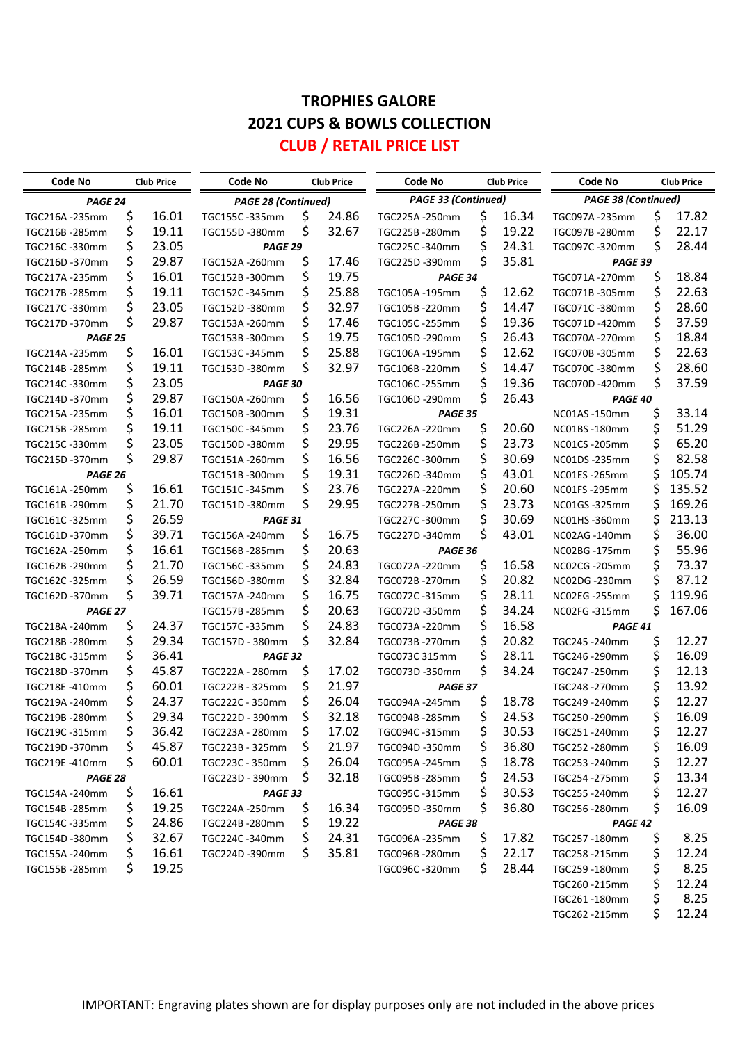## **TROPHIES GALORE 2021 CUPS & BOWLS COLLECTION**

### **CLUB / RETAIL PRICE LIST**

| Code No        |    | <b>Club Price</b> | Code No                    |    | <b>Club Price</b> | Code No             |     | <b>Club Price</b> | <b>Code No</b>             |    | <b>Club Price</b> |
|----------------|----|-------------------|----------------------------|----|-------------------|---------------------|-----|-------------------|----------------------------|----|-------------------|
| PAGE 24        |    |                   | <b>PAGE 28 (Continued)</b> |    |                   | PAGE 33 (Continued) |     |                   | <b>PAGE 38 (Continued)</b> |    |                   |
| TGC216A-235mm  | \$ | 16.01             | TGC155C-335mm              | \$ | 24.86             | TGC225A-250mm       | \$  | 16.34             | TGC097A-235mm              | \$ | 17.82             |
| TGC216B-285mm  | \$ | 19.11             | TGC155D-380mm              | \$ | 32.67             | TGC225B-280mm       | \$  | 19.22             | TGC097B-280mm              | \$ | 22.17             |
| TGC216C-330mm  | \$ | 23.05             | PAGE 29                    |    |                   | TGC225C-340mm       | \$  | 24.31             | TGC097C-320mm              | \$ | 28.44             |
| TGC216D -370mm | \$ | 29.87             | TGC152A-260mm              | \$ | 17.46             | TGC225D-390mm       | \$  | 35.81             | PAGE 39                    |    |                   |
| TGC217A-235mm  | \$ | 16.01             | TGC152B-300mm              | \$ | 19.75             | PAGE 34             |     |                   | TGC071A-270mm              | \$ | 18.84             |
| TGC217B-285mm  | \$ | 19.11             | TGC152C-345mm              | \$ | 25.88             | TGC105A-195mm       | \$  | 12.62             | TGC071B-305mm              | \$ | 22.63             |
| TGC217C-330mm  | \$ | 23.05             | TGC152D-380mm              | \$ | 32.97             | TGC105B-220mm       | \$  | 14.47             | TGC071C-380mm              | \$ | 28.60             |
| TGC217D-370mm  | \$ | 29.87             | TGC153A-260mm              | \$ | 17.46             | TGC105C -255mm      | \$  | 19.36             | TGC071D-420mm              | \$ | 37.59             |
| PAGE 25        |    |                   | TGC153B-300mm              | \$ | 19.75             | TGC105D -290mm      | \$  | 26.43             | TGC070A-270mm              | \$ | 18.84             |
| TGC214A -235mm | \$ | 16.01             | TGC153C-345mm              | \$ | 25.88             | TGC106A -195mm      | \$  | 12.62             | TGC070B-305mm              | \$ | 22.63             |
| TGC214B -285mm | \$ | 19.11             | TGC153D-380mm              | \$ | 32.97             | TGC106B-220mm       | \$  | 14.47             | TGC070C-380mm              | \$ | 28.60             |
| TGC214C-330mm  | \$ | 23.05             | PAGE 30                    |    |                   | TGC106C-255mm       | \$  | 19.36             | TGC070D -420mm             | \$ | 37.59             |
| TGC214D -370mm | \$ | 29.87             | TGC150A-260mm              | \$ | 16.56             | TGC106D -290mm      | \$  | 26.43             | PAGE 40                    |    |                   |
| TGC215A-235mm  | \$ | 16.01             | TGC150B-300mm              | \$ | 19.31             | PAGE 35             |     |                   | NC01AS -150mm              | \$ | 33.14             |
| TGC215B-285mm  | \$ | 19.11             | TGC150C-345mm              | \$ | 23.76             | TGC226A-220mm       | \$  | 20.60             | NC01BS-180mm               | \$ | 51.29             |
| TGC215C-330mm  | \$ | 23.05             | TGC150D-380mm              | \$ | 29.95             | TGC226B-250mm       | \$  | 23.73             | NC01CS-205mm               | \$ | 65.20             |
| TGC215D-370mm  | \$ | 29.87             | TGC151A-260mm              | \$ | 16.56             | TGC226C-300mm       | \$  | 30.69             | NC01DS-235mm               | \$ | 82.58             |
| PAGE 26        |    |                   | TGC151B-300mm              | \$ | 19.31             | TGC226D-340mm       | \$  | 43.01             | NC01ES-265mm               | \$ | 105.74            |
| TGC161A-250mm  | \$ | 16.61             | TGC151C-345mm              | \$ | 23.76             | TGC227A-220mm       | \$  | 20.60             | NC01FS-295mm               | \$ | 135.52            |
| TGC161B-290mm  | \$ | 21.70             | TGC151D-380mm              | \$ | 29.95             | TGC227B-250mm       | \$  | 23.73             | NC01GS-325mm               | \$ | 169.26            |
| TGC161C-325mm  | \$ | 26.59             | PAGE 31                    |    |                   | TGC227C-300mm       | \$  | 30.69             | NC01HS-360mm               | \$ | 213.13            |
| TGC161D -370mm | \$ | 39.71             | TGC156A-240mm              | \$ | 16.75             | TGC227D-340mm       | \$  | 43.01             | NC02AG-140mm               | \$ | 36.00             |
| TGC162A-250mm  | \$ | 16.61             | TGC156B-285mm              | \$ | 20.63             | PAGE 36             |     |                   | NC02BG -175mm              | \$ | 55.96             |
| TGC162B-290mm  | \$ | 21.70             | TGC156C-335mm              | \$ | 24.83             | TGC072A-220mm       | \$  | 16.58             | NC02CG -205mm              | \$ | 73.37             |
| TGC162C-325mm  | \$ | 26.59             | TGC156D-380mm              | \$ | 32.84             | TGC072B-270mm       | \$  | 20.82             | NC02DG -230mm              | \$ | 87.12             |
| TGC162D -370mm | \$ | 39.71             | TGC157A-240mm              | \$ | 16.75             | TGC072C-315mm       | \$  | 28.11             | NC02EG-255mm               | \$ | 119.96            |
| PAGE 27        |    |                   | TGC157B-285mm              | \$ | 20.63             | TGC072D-350mm       | \$  | 34.24             | NC02FG-315mm               | \$ | 167.06            |
| TGC218A-240mm  | \$ | 24.37             | TGC157C-335mm              | \$ | 24.83             | TGC073A-220mm       | \$  | 16.58             | PAGE 41                    |    |                   |
| TGC218B-280mm  | \$ | 29.34             | TGC157D - 380mm            | \$ | 32.84             | TGC073B-270mm       | \$  | 20.82             | TGC245 - 240mm             | \$ | 12.27             |
| TGC218C-315mm  | \$ | 36.41             | PAGE 32                    |    |                   | TGC073C 315mm       | \$  | 28.11             | TGC246-290mm               | \$ | 16.09             |
| TGC218D -370mm | \$ | 45.87             | TGC222A - 280mm            | \$ | 17.02             | TGC073D -350mm      | \$  | 34.24             | TGC247 - 250mm             | \$ | 12.13             |
| TGC218E-410mm  | \$ | 60.01             | TGC222B - 325mm            | \$ | 21.97             | PAGE 37             |     |                   | TGC248-270mm               | \$ | 13.92             |
| TGC219A-240mm  | \$ | 24.37             | TGC222C - 350mm            | \$ | 26.04             | TGC094A-245mm       | \$  | 18.78             | TGC249-240mm               | \$ | 12.27             |
| TGC219B-280mm  | \$ | 29.34             | TGC222D - 390mm            | \$ | 32.18             | TGC094B-285mm       | \$  | 24.53             | TGC250-290mm               | \$ | 16.09             |
| TGC219C-315mm  | Ş  | 36.42             | TGC223A - 280mm            | Ş  | 17.02             | TGC094C -315mm      | Ş   | 30.53             | TGC251-240mm               | ⇒  | 12.27             |
| TGC219D -370mm | \$ | 45.87             | TGC223B - 325mm            | \$ | 21.97             | TGC094D -350mm      | Ş   | 36.80             | TGC252 -280mm              | \$ | 16.09             |
| TGC219E-410mm  | Ş  | 60.01             | TGC223C - 350mm            | \$ | 26.04             | TGC095A-245mm       | Ş   | 18.78             | TGC253-240mm               | \$ | 12.27             |
| PAGE 28        |    |                   | TGC223D - 390mm            | \$ | 32.18             | TGC095B-285mm       | \$  | 24.53             | TGC254 -275mm              | \$ | 13.34             |
| TGC154A -240mm | \$ | 16.61             | PAGE 33                    |    |                   | TGC095C-315mm       | \$  | 30.53             | TGC255-240mm               | \$ | 12.27             |
| TGC154B -285mm | \$ | 19.25             | TGC224A-250mm              | \$ | 16.34             | TGC095D-350mm       | \$  | 36.80             | TGC256-280mm               | \$ | 16.09             |
| TGC154C -335mm | \$ | 24.86             | TGC224B-280mm              | \$ | 19.22             | PAGE 38             |     |                   | PAGE 42                    |    |                   |
| TGC154D -380mm | \$ | 32.67             | TGC224C-340mm              | \$ | 24.31             | TGC096A-235mm       | \$, | 17.82             | TGC257-180mm               | \$ | 8.25              |
| TGC155A-240mm  | \$ | 16.61             | TGC224D-390mm              | Ş  | 35.81             | TGC096B-280mm       | \$  | 22.17             | TGC258-215mm               | \$ | 12.24             |
| TGC155B-285mm  | S  | 19.25             |                            |    |                   | TGC096C-320mm       | \$  | 28.44             | TGC259-180mm               | \$ | 8.25              |
|                |    |                   |                            |    |                   |                     |     |                   | TGC260-215mm               | \$ | 12.24             |
|                |    |                   |                            |    |                   |                     |     |                   | TGC261-180mm               | \$ | 8.25              |
|                |    |                   |                            |    |                   |                     |     |                   | TGC262 -215mm              | \$ | 12.24             |